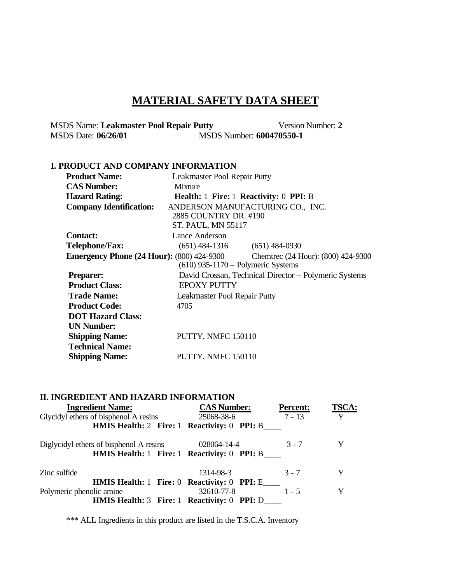# **MATERIAL SAFETY DATA SHEET**

MSDS Name: **Leakmaster Pool Repair Putty** Version Number: 2<br>MSDS Date:  $06/26/01$  MSDS Number:  $600470550-1$ MSDS Date: **06/26/01** MSDS Number: **600470550-1**

### **I. PRODUCT AND COMPANY INFORMATION**

| <b>Product Name:</b>                             | Leakmaster Pool Repair Putty         |                                                       |
|--------------------------------------------------|--------------------------------------|-------------------------------------------------------|
| <b>CAS Number:</b>                               | Mixture                              |                                                       |
| <b>Hazard Rating:</b>                            |                                      | <b>Health: 1 Fire: 1 Reactivity: 0 PPI: B</b>         |
| <b>Company Identification:</b>                   |                                      | ANDERSON MANUFACTURING CO., INC.                      |
|                                                  | 2885 COUNTRY DR. #190                |                                                       |
|                                                  | <b>ST. PAUL, MN 55117</b>            |                                                       |
| <b>Contact:</b>                                  | Lance Anderson                       |                                                       |
| <b>Telephone/Fax:</b>                            |                                      | $(651)$ 484-1316 $(651)$ 484-0930                     |
| <b>Emergency Phone (24 Hour): (800) 424-9300</b> |                                      | Chemtrec (24 Hour): (800) 424-9300                    |
|                                                  | $(610)$ 935-1170 – Polymeric Systems |                                                       |
| <b>Preparer:</b>                                 |                                      | David Crossan, Technical Director - Polymeric Systems |
| <b>Product Class:</b>                            | <b>EPOXY PUTTY</b>                   |                                                       |
| <b>Trade Name:</b>                               | Leakmaster Pool Repair Putty         |                                                       |
| <b>Product Code:</b>                             | 4705                                 |                                                       |
| <b>DOT Hazard Class:</b>                         |                                      |                                                       |
| <b>UN Number:</b>                                |                                      |                                                       |
| <b>Shipping Name:</b>                            | PUTTY, NMFC 150110                   |                                                       |
| <b>Technical Name:</b>                           |                                      |                                                       |
| <b>Shipping Name:</b>                            | PUTTY, NMFC 150110                   |                                                       |
|                                                  |                                      |                                                       |

### **II. INGREDIENT AND HAZARD INFORMATION**

| <b>Ingredient Name:</b><br>Glycidyl ethers of bisphenol A resins | <b>CAS Number:</b><br>25068-38-6               | <b>Percent:</b><br>$7 - 13$ | <b>TSCA:</b><br>Y |
|------------------------------------------------------------------|------------------------------------------------|-----------------------------|-------------------|
|                                                                  | HMIS Health: 2 Fire: 1 Reactivity: 0 PPI: B    |                             |                   |
| Diglycidyl ethers of bisphenol A resins 028064-14-4              |                                                | $3 - 7$                     | Y                 |
|                                                                  | HMIS Health: 1 Fire: 1 Reactivity: 0 PPI: B    |                             |                   |
| Zinc sulfide                                                     | 1314-98-3                                      | $3 - 7$                     | Y                 |
|                                                                  | HMIS Health: 1 Fire: 0 Reactivity: 0 PPI: E    |                             |                   |
| Polymeric phenolic amine                                         | 32610-77-8                                     | $1 - 5$                     | Y                 |
|                                                                  | HMIS Health: 3 Fire: 1 Reactivity: 0 PPI: D___ |                             |                   |

\*\*\* ALL Ingredients in this product are listed in the T.S.C.A. Inventory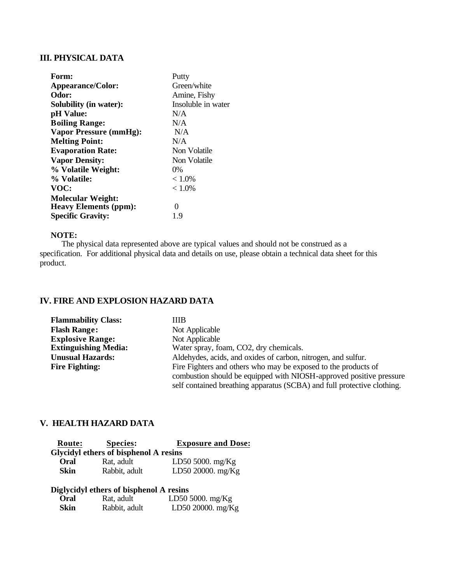## **III. PHYSICAL DATA**

| Form:                         | Putty              |
|-------------------------------|--------------------|
| <b>Appearance/Color:</b>      | Green/white        |
| Odor:                         | Amine, Fishy       |
| Solubility (in water):        | Insoluble in water |
| pH Value:                     | N/A                |
| <b>Boiling Range:</b>         | N/A                |
| <b>Vapor Pressure (mmHg):</b> | N/A                |
| <b>Melting Point:</b>         | N/A                |
| <b>Evaporation Rate:</b>      | Non Volatile       |
| <b>Vapor Density:</b>         | Non Volatile       |
| % Volatile Weight:            | $0\%$              |
| % Volatile:                   | $< 1.0\%$          |
| VOC:                          | $< 1.0\%$          |
| <b>Molecular Weight:</b>      |                    |
| <b>Heavy Elements (ppm):</b>  | $\mathbf{\Omega}$  |
| <b>Specific Gravity:</b>      | 1.9                |

### **NOTE:**

 The physical data represented above are typical values and should not be construed as a specification. For additional physical data and details on use, please obtain a technical data sheet for this product.

## **IV. FIRE AND EXPLOSION HAZARD DATA**

| <b>Flammability Class:</b>  | ШB                                                                      |
|-----------------------------|-------------------------------------------------------------------------|
| <b>Flash Range:</b>         | Not Applicable                                                          |
| <b>Explosive Range:</b>     | Not Applicable                                                          |
| <b>Extinguishing Media:</b> | Water spray, foam, CO2, dry chemicals.                                  |
| <b>Unusual Hazards:</b>     | Aldehydes, acids, and oxides of carbon, nitrogen, and sulfur.           |
| <b>Fire Fighting:</b>       | Fire Fighters and others who may be exposed to the products of          |
|                             | combustion should be equipped with NIOSH-approved positive pressure     |
|                             | self contained breathing apparatus (SCBA) and full protective clothing. |

## **V. HEALTH HAZARD DATA**

| Route: | <b>Species:</b>                       | <b>Exposure and Dose:</b> |  |  |  |
|--------|---------------------------------------|---------------------------|--|--|--|
|        | Glycidyl ethers of bisphenol A resins |                           |  |  |  |
| Oral   | Rat. adult                            | LD50 5000. $mg/Kg$        |  |  |  |
| Skin   | Rabbit, adult                         | LD50 20000. mg/Kg         |  |  |  |

### **Diglycidyl ethers of bisphenol A resins**

| Oral | Rat, adult    | LD50 5000. $mg/Kg$ |
|------|---------------|--------------------|
| Skin | Rabbit, adult | LD50 20000. mg/Kg  |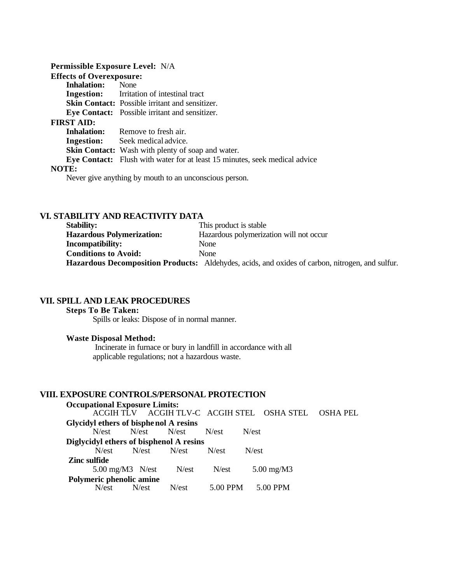| Permissible Exposure Level: N/A |                                                                                   |
|---------------------------------|-----------------------------------------------------------------------------------|
| <b>Effects of Overexposure:</b> |                                                                                   |
| <b>Inhalation:</b> None         |                                                                                   |
|                                 | <b>Ingestion:</b> Irritation of intestinal tract                                  |
|                                 | Skin Contact: Possible irritant and sensitizer.                                   |
|                                 | Eye Contact: Possible irritant and sensitizer.                                    |
| <b>FIRST AID:</b>               |                                                                                   |
|                                 | <b>Inhalation:</b> Remove to fresh air.                                           |
|                                 | <b>Ingestion:</b> Seek medical advice.                                            |
|                                 | <b>Skin Contact:</b> Wash with plenty of soap and water.                          |
|                                 | <b>Eye Contact:</b> Flush with water for at least 15 minutes, seek medical advice |
| NOTE:                           |                                                                                   |
|                                 | Never give anything by mouth to an unconscious person.                            |

## **VI. STABILITY AND REACTIVITY DATA**

| <b>Stability:</b>                | This product is stable                                                                                 |
|----------------------------------|--------------------------------------------------------------------------------------------------------|
| <b>Hazardous Polymerization:</b> | Hazardous polymerization will not occur                                                                |
| <b>Incompatibility:</b>          | None                                                                                                   |
| <b>Conditions to Avoid:</b>      | <b>None</b>                                                                                            |
|                                  | <b>Hazardous Decomposition Products:</b> Aldehydes, acids, and oxides of carbon, nitrogen, and sulfur. |

## **VII. SPILL AND LEAK PROCEDURES**

### **Steps To Be Taken:**

Spills or leaks: Dispose of in normal manner.

### **Waste Disposal Method:**

 Incinerate in furnace or bury in landfill in accordance with all applicable regulations; not a hazardous waste.

## **VIII. EXPOSURE CONTROLS/PERSONAL PROTECTION**

| <b>Occupational Exposure Limits:</b>    |                             |                  |                  |                                            |          |
|-----------------------------------------|-----------------------------|------------------|------------------|--------------------------------------------|----------|
|                                         |                             |                  |                  | ACGIH TLV ACGIH TLV-C ACGIH STEL OSHA STEL | OSHA PEL |
| Glycidyl ethers of bisphe nol A resins  |                             |                  |                  |                                            |          |
|                                         | N/est N/est N/est           |                  | N <sub>est</sub> | N <sub>est</sub>                           |          |
| Diglycidyl ethers of bisphenol A resins |                             |                  |                  |                                            |          |
|                                         | $N/est$ $N/est$ $N/est$     |                  | N <sub>est</sub> | N <sub>est</sub>                           |          |
| Zinc sulfide                            |                             |                  |                  |                                            |          |
|                                         | $5.00 \text{ mg/M}$ 3 N/est | N/est            | N <sub>est</sub> | $5.00 \text{ mg}/\text{M}3$                |          |
| Polymeric phenolic amine                |                             |                  |                  |                                            |          |
| N/est                                   | N/est                       | N <sub>est</sub> | 5.00 PPM         | 5.00 PPM                                   |          |
|                                         |                             |                  |                  |                                            |          |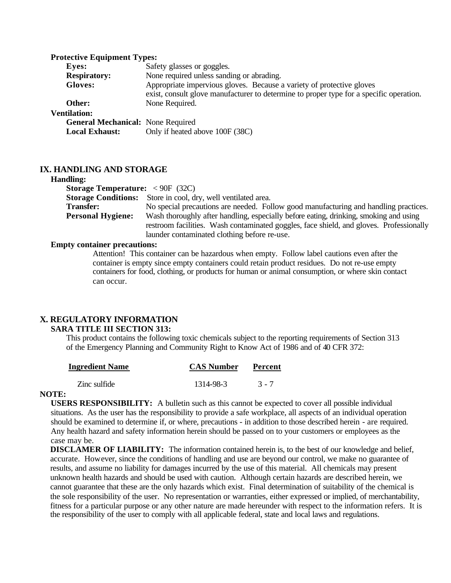#### **Protective Equipment Types:**

| Eyes:                                    | Safety glasses or goggles.                                                              |
|------------------------------------------|-----------------------------------------------------------------------------------------|
| <b>Respiratory:</b>                      | None required unless sanding or abrading.                                               |
| <b>Gloves:</b>                           | Appropriate impervious gloves. Because a variety of protective gloves                   |
|                                          | exist, consult glove manufacturer to determine to proper type for a specific operation. |
| Other:                                   | None Required.                                                                          |
| <b>Ventilation:</b>                      |                                                                                         |
| <b>General Mechanical: None Required</b> |                                                                                         |
| <b>Local Exhaust:</b>                    | Only if heated above 100F (38C)                                                         |

#### **IX. HANDLING AND STORAGE**

#### **Handling:**

| <b>************</b>                                     |                                                                                         |
|---------------------------------------------------------|-----------------------------------------------------------------------------------------|
| <b>Storage Temperature:</b> $\langle 90F (32C) \rangle$ |                                                                                         |
|                                                         | <b>Storage Conditions:</b> Store in cool, dry, well ventilated area.                    |
| <b>Transfer:</b>                                        | No special precautions are needed. Follow good manufacturing and handling practices.    |
| <b>Personal Hygiene:</b>                                | Wash thoroughly after handling, especially before eating, drinking, smoking and using   |
|                                                         | restroom facilities. Wash contaminated goggles, face shield, and gloves. Professionally |
|                                                         | launder contaminated clothing before re-use.                                            |

#### **Empty container precautions:**

Attention! This container can be hazardous when empty. Follow label cautions even after the container is empty since empty containers could retain product residues. Do not re-use empty containers for food, clothing, or products for human or animal consumption, or where skin contact can occur.

# **X. REGULATORY INFORMATION**

#### **SARA TITLE III SECTION 313:**

This product contains the following toxic chemicals subject to the reporting requirements of Section 313 of the Emergency Planning and Community Right to Know Act of 1986 and of 40 CFR 372:

|           | Percent           |
|-----------|-------------------|
| 1314-98-3 | $3 - 7$           |
|           | <b>CAS Number</b> |

#### **NOTE:**

 **USERS RESPONSIBILITY:** A bulletin such as this cannot be expected to cover all possible individual situations. As the user has the responsibility to provide a safe workplace, all aspects of an individual operation should be examined to determine if, or where, precautions - in addition to those described herein - are required. Any health hazard and safety information herein should be passed on to your customers or employees as the case may be.

**DISCLAMER OF LIABILITY:** The information contained herein is, to the best of our knowledge and belief, accurate. However, since the conditions of handling and use are beyond our control, we make no guarantee of results, and assume no liability for damages incurred by the use of this material. All chemicals may present unknown health hazards and should be used with caution. Although certain hazards are described herein, we cannot guarantee that these are the only hazards which exist. Final determination of suitability of the chemical is the sole responsibility of the user. No representation or warranties, either expressed or implied, of merchantability, fitness for a particular purpose or any other nature are made hereunder with respect to the information refers. It is the responsibility of the user to comply with all applicable federal, state and local laws and regulations.